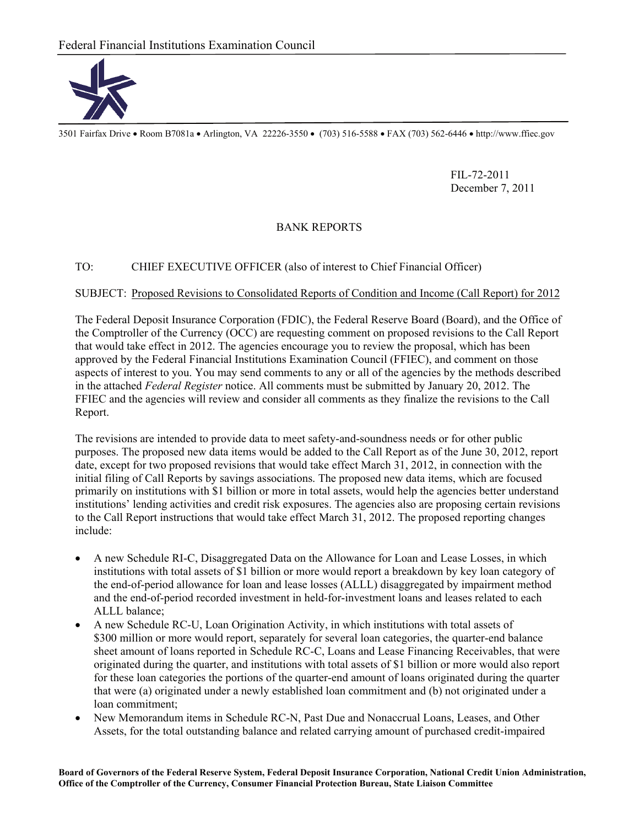

3501 Fairfax Drive Room B7081a Arlington, VA 22226-3550 (703) 516-5588 FAX (703) 562-6446 http://www.ffiec.gov

 FIL-72-2011 December 7, 2011

## BANK REPORTS

## TO: CHIEF EXECUTIVE OFFICER (also of interest to Chief Financial Officer)

## SUBJECT: Proposed Revisions to Consolidated Reports of Condition and Income (Call Report) for 2012

The Federal Deposit Insurance Corporation (FDIC), the Federal Reserve Board (Board), and the Office of the Comptroller of the Currency (OCC) are requesting comment on proposed revisions to the Call Report that would take effect in 2012. The agencies encourage you to review the proposal, which has been approved by the Federal Financial Institutions Examination Council (FFIEC), and comment on those aspects of interest to you. You may send comments to any or all of the agencies by the methods described in the attached *Federal Register* notice. All comments must be submitted by January 20, 2012. The FFIEC and the agencies will review and consider all comments as they finalize the revisions to the Call Report.

The revisions are intended to provide data to meet safety-and-soundness needs or for other public purposes. The proposed new data items would be added to the Call Report as of the June 30, 2012, report date, except for two proposed revisions that would take effect March 31, 2012, in connection with the initial filing of Call Reports by savings associations. The proposed new data items, which are focused primarily on institutions with \$1 billion or more in total assets, would help the agencies better understand institutions' lending activities and credit risk exposures. The agencies also are proposing certain revisions to the Call Report instructions that would take effect March 31, 2012. The proposed reporting changes include:

- A new Schedule RI-C, Disaggregated Data on the Allowance for Loan and Lease Losses, in which institutions with total assets of \$1 billion or more would report a breakdown by key loan category of the end-of-period allowance for loan and lease losses (ALLL) disaggregated by impairment method and the end-of-period recorded investment in held-for-investment loans and leases related to each ALLL balance;
- A new Schedule RC-U, Loan Origination Activity, in which institutions with total assets of \$300 million or more would report, separately for several loan categories, the quarter-end balance sheet amount of loans reported in Schedule RC-C, Loans and Lease Financing Receivables, that were originated during the quarter, and institutions with total assets of \$1 billion or more would also report for these loan categories the portions of the quarter-end amount of loans originated during the quarter that were (a) originated under a newly established loan commitment and (b) not originated under a loan commitment;
- New Memorandum items in Schedule RC-N, Past Due and Nonaccrual Loans, Leases, and Other Assets, for the total outstanding balance and related carrying amount of purchased credit-impaired